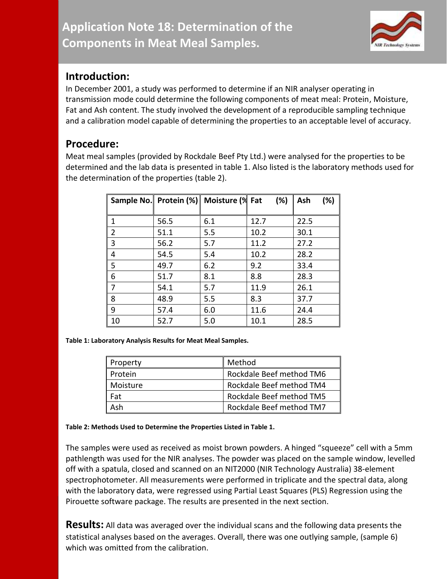

## **Introduction:**

In December 2001, a study was performed to determine if an NIR analyser operating in transmission mode could determine the following components of meat meal: Protein, Moisture, Fat and Ash content. The study involved the development of a reproducible sampling technique and a calibration model capable of determining the properties to an acceptable level of accuracy.

## **Procedure:**

Meat meal samples (provided by Rockdale Beef Pty Ltd.) were analysed for the properties to be determined and the lab data is presented in table 1. Also listed is the laboratory methods used for the determination of the properties (table 2).

|                |      | Sample No. Protein (%)   Moisture (%) Fat | (%)  | (%)<br>Ash |
|----------------|------|-------------------------------------------|------|------------|
|                |      |                                           |      |            |
| 1              | 56.5 | 6.1                                       | 12.7 | 22.5       |
| $\overline{2}$ | 51.1 | 5.5                                       | 10.2 | 30.1       |
| $\vert$ 3      | 56.2 | 5.7                                       | 11.2 | 27.2       |
| $\overline{4}$ | 54.5 | 5.4                                       | 10.2 | 28.2       |
| 5              | 49.7 | 6.2                                       | 9.2  | 33.4       |
| 6              | 51.7 | 8.1                                       | 8.8  | 28.3       |
| 7              | 54.1 | 5.7                                       | 11.9 | 26.1       |
| 8              | 48.9 | 5.5                                       | 8.3  | 37.7       |
| 9              | 57.4 | 6.0                                       | 11.6 | 24.4       |
| 10             | 52.7 | 5.0                                       | 10.1 | 28.5       |

**Table 1: Laboratory Analysis Results for Meat Meal Samples.**

| Property | Method                   |
|----------|--------------------------|
| Protein  | Rockdale Beef method TM6 |
| Moisture | Rockdale Beef method TM4 |
| Fat      | Rockdale Beef method TM5 |
| Ash      | Rockdale Beef method TM7 |

**Table 2: Methods Used to Determine the Properties Listed in Table 1.**

The samples were used as received as moist brown powders. A hinged "squeeze" cell with a 5mm pathlength was used for the NIR analyses. The powder was placed on the sample window, levelled off with a spatula, closed and scanned on an NIT2000 (NIR Technology Australia) 38-element spectrophotometer. All measurements were performed in triplicate and the spectral data, along with the laboratory data, were regressed using Partial Least Squares (PLS) Regression using the Pirouette software package. The results are presented in the next section.

**Results:** All data was averaged over the individual scans and the following data presents the statistical analyses based on the averages. Overall, there was one outlying sample, (sample 6) which was omitted from the calibration.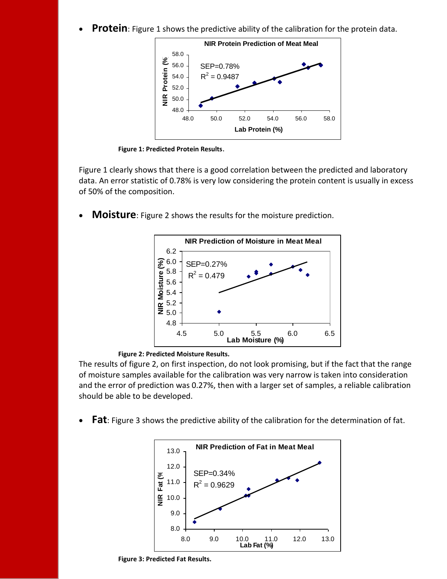**Protein**: Figure 1 shows the predictive ability of the calibration for the protein data.



**Figure 1: Predicted Protein Results**.

Figure 1 clearly shows that there is a good correlation between the predicted and laboratory data. An error statistic of 0.78% is very low considering the protein content is usually in excess of 50% of the composition.

**Moisture**: Figure 2 shows the results for the moisture prediction.



## **Figure 2: Predicted Moisture Results.**

The results of figure 2, on first inspection, do not look promising, but if the fact that the range of moisture samples available for the calibration was very narrow is taken into consideration and the error of prediction was 0.27%, then with a larger set of samples, a reliable calibration should be able to be developed.

**Fat**: Figure 3 shows the predictive ability of the calibration for the determination of fat.



**Figure 3: Predicted Fat Results.**